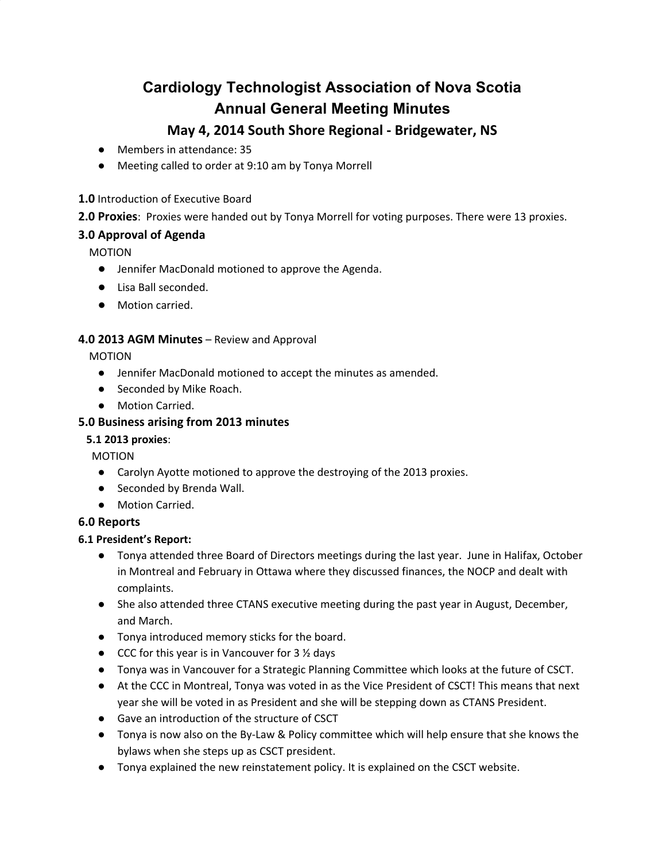# **Cardiology Technologist Association of Nova Scotia Annual General Meeting Minutes**

# **May 4, 2014 South Shore Regional - Bridgewater, NS**

- Members in attendance: 35
- Meeting called to order at 9:10 am by Tonya Morrell

#### **1.0** Introduction of Executive Board

# **2.0 Proxies**: Proxies were handed out by Tonya Morrell for voting purposes. There were 13 proxies.

# **3.0 Approval of Agenda**

MOTION

- Jennifer MacDonald motioned to approve the Agenda.
- Lisa Ball seconded.
- Motion carried.

#### **4.0 2013 AGM Minutes** – Review and Approval

MOTION

- Jennifer MacDonald motioned to accept the minutes as amended.
- Seconded by Mike Roach.
- Motion Carried.

# **5.0 Business arising from 2013 minutes**

#### **5.1 2013 proxies**:

MOTION

- Carolyn Ayotte motioned to approve the destroying of the 2013 proxies.
- Seconded by Brenda Wall.
- Motion Carried.

# **6.0 Reports**

# **6.1 President's Report:**

- Tonya attended three Board of Directors meetings during the last year. June in Halifax, October in Montreal and February in Ottawa where they discussed finances, the NOCP and dealt with complaints.
- She also attended three CTANS executive meeting during the past year in August, December, and March.
- Tonya introduced memory sticks for the board.
- $\bullet$  CCC for this year is in Vancouver for 3  $\frac{1}{2}$  days
- Tonya was in Vancouver for a Strategic Planning Committee which looks at the future of CSCT.
- At the CCC in Montreal, Tonya was voted in as the Vice President of CSCT! This means that next year she will be voted in as President and she will be stepping down as CTANS President.
- Gave an introduction of the structure of CSCT
- Tonya is now also on the By-Law & Policy committee which will help ensure that she knows the bylaws when she steps up as CSCT president.
- Tonya explained the new reinstatement policy. It is explained on the CSCT website.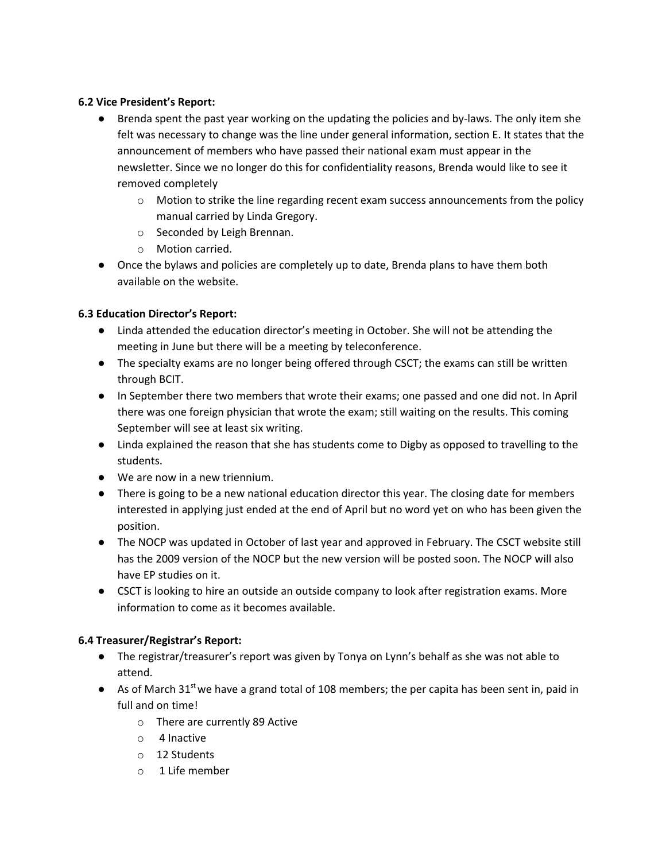#### **6.2 Vice President's Report:**

- Brenda spent the past year working on the updating the policies and by-laws. The only item she felt was necessary to change was the line under general information, section E. It states that the announcement of members who have passed their national exam must appear in the newsletter. Since we no longer do this for confidentiality reasons, Brenda would like to see it removed completely
	- $\circ$  Motion to strike the line regarding recent exam success announcements from the policy manual carried by Linda Gregory.
	- o Seconded by Leigh Brennan.
	- o Motion carried.
- Once the bylaws and policies are completely up to date, Brenda plans to have them both available on the website.

#### **6.3 Education Director's Report:**

- Linda attended the education director's meeting in October. She will not be attending the meeting in June but there will be a meeting by teleconference.
- The specialty exams are no longer being offered through CSCT; the exams can still be written through BCIT.
- In September there two members that wrote their exams; one passed and one did not. In April there was one foreign physician that wrote the exam; still waiting on the results. This coming September will see at least six writing.
- Linda explained the reason that she has students come to Digby as opposed to travelling to the students.
- We are now in a new triennium.
- There is going to be a new national education director this year. The closing date for members interested in applying just ended at the end of April but no word yet on who has been given the position.
- The NOCP was updated in October of last year and approved in February. The CSCT website still has the 2009 version of the NOCP but the new version will be posted soon. The NOCP will also have EP studies on it.
- CSCT is looking to hire an outside an outside company to look after registration exams. More information to come as it becomes available.

#### **6.4 Treasurer/Registrar's Report:**

- The registrar/treasurer's report was given by Tonya on Lynn's behalf as she was not able to attend.
- As of March 31<sup>st</sup> we have a grand total of 108 members; the per capita has been sent in, paid in full and on time!
	- o There are currently 89 Active
	- o 4 Inactive
	- o 12 Students
	- o 1 Life member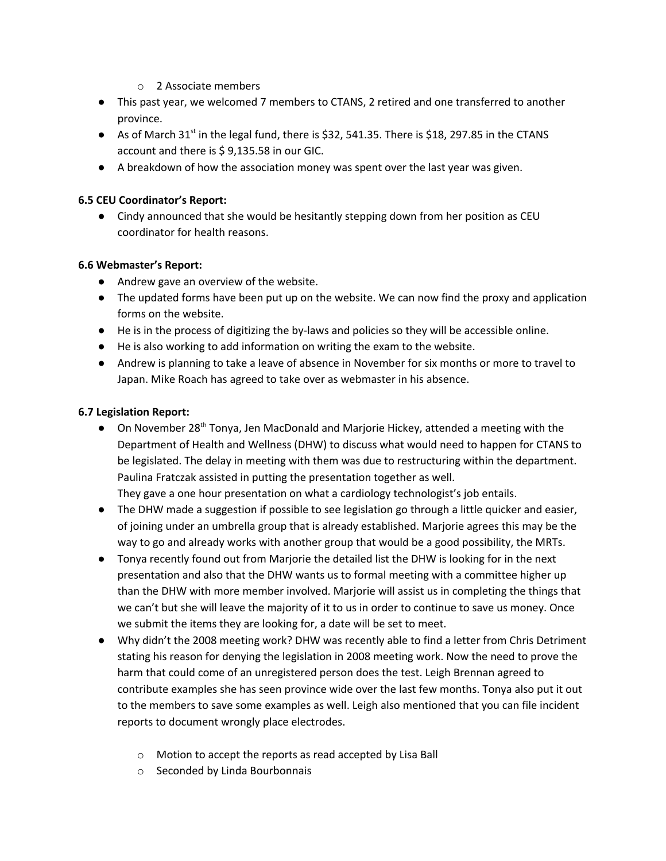- o 2 Associate members
- This past year, we welcomed 7 members to CTANS, 2 retired and one transferred to another province.
- $\bullet$  As of March 31<sup>st</sup> in the legal fund, there is \$32, 541.35. There is \$18, 297.85 in the CTANS account and there is \$ 9,135.58 in our GIC.
- A breakdown of how the association money was spent over the last year was given.

#### **6.5 CEU Coordinator's Report:**

● Cindy announced that she would be hesitantly stepping down from her position as CEU coordinator for health reasons.

#### **6.6 Webmaster's Report:**

- Andrew gave an overview of the website.
- The updated forms have been put up on the website. We can now find the proxy and application forms on the website.
- He is in the process of digitizing the by-laws and policies so they will be accessible online.
- He is also working to add information on writing the exam to the website.
- Andrew is planning to take a leave of absence in November for six months or more to travel to Japan. Mike Roach has agreed to take over as webmaster in his absence.

#### **6.7 Legislation Report:**

- On November 28<sup>th</sup> Tonya, Jen MacDonald and Marjorie Hickey, attended a meeting with the Department of Health and Wellness (DHW) to discuss what would need to happen for CTANS to be legislated. The delay in meeting with them was due to restructuring within the department. Paulina Fratczak assisted in putting the presentation together as well. They gave a one hour presentation on what a cardiology technologist's job entails.
- The DHW made a suggestion if possible to see legislation go through a little quicker and easier, of joining under an umbrella group that is already established. Marjorie agrees this may be the way to go and already works with another group that would be a good possibility, the MRTs.
- Tonya recently found out from Marjorie the detailed list the DHW is looking for in the next presentation and also that the DHW wants us to formal meeting with a committee higher up than the DHW with more member involved. Marjorie will assist us in completing the things that we can't but she will leave the majority of it to us in order to continue to save us money. Once we submit the items they are looking for, a date will be set to meet.
- Why didn't the 2008 meeting work? DHW was recently able to find a letter from Chris Detriment stating his reason for denying the legislation in 2008 meeting work. Now the need to prove the harm that could come of an unregistered person does the test. Leigh Brennan agreed to contribute examples she has seen province wide over the last few months. Tonya also put it out to the members to save some examples as well. Leigh also mentioned that you can file incident reports to document wrongly place electrodes.
	- o Motion to accept the reports as read accepted by Lisa Ball
	- o Seconded by Linda Bourbonnais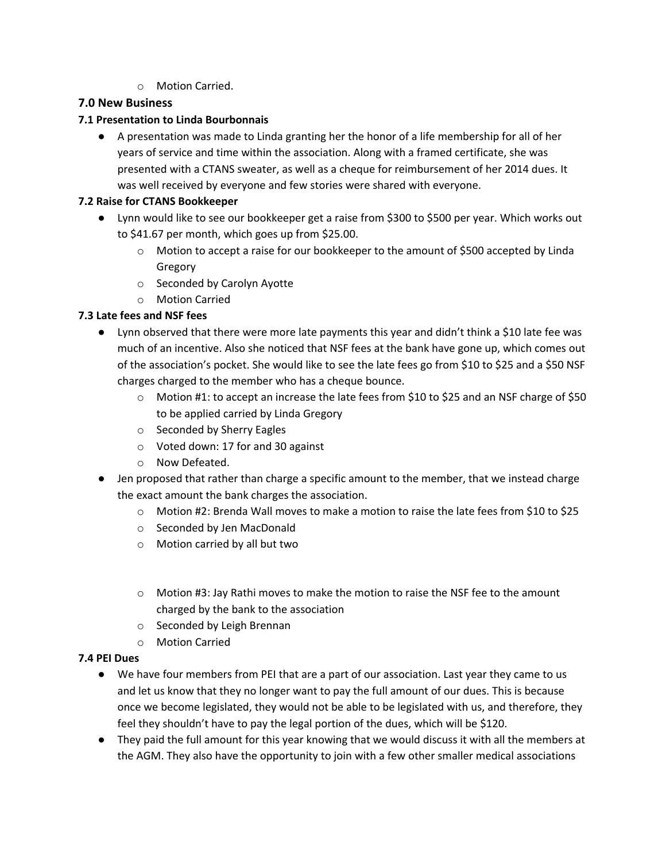o Motion Carried.

#### **7.0 New Business**

#### **7.1 Presentation to Linda Bourbonnais**

● A presentation was made to Linda granting her the honor of a life membership for all of her years of service and time within the association. Along with a framed certificate, she was presented with a CTANS sweater, as well as a cheque for reimbursement of her 2014 dues. It was well received by everyone and few stories were shared with everyone.

#### **7.2 Raise for CTANS Bookkeeper**

- Lynn would like to see our bookkeeper get a raise from \$300 to \$500 per year. Which works out to \$41.67 per month, which goes up from \$25.00.
	- o Motion to accept a raise for our bookkeeper to the amount of \$500 accepted by Linda Gregory
	- o Seconded by Carolyn Ayotte
	- o Motion Carried

#### **7.3 Late fees and NSF fees**

- Lynn observed that there were more late payments this year and didn't think a \$10 late fee was much of an incentive. Also she noticed that NSF fees at the bank have gone up, which comes out of the association's pocket. She would like to see the late fees go from \$10 to \$25 and a \$50 NSF charges charged to the member who has a cheque bounce.
	- o Motion #1: to accept an increase the late fees from \$10 to \$25 and an NSF charge of \$50 to be applied carried by Linda Gregory
	- o Seconded by Sherry Eagles
	- o Voted down: 17 for and 30 against
	- o Now Defeated.
- Jen proposed that rather than charge a specific amount to the member, that we instead charge the exact amount the bank charges the association.
	- o Motion #2: Brenda Wall moves to make a motion to raise the late fees from \$10 to \$25
	- o Seconded by Jen MacDonald
	- o Motion carried by all but two
	- $\circ$  Motion #3: Jay Rathi moves to make the motion to raise the NSF fee to the amount charged by the bank to the association
	- o Seconded by Leigh Brennan
	- o Motion Carried

#### **7.4 PEI Dues**

- We have four members from PEI that are a part of our association. Last year they came to us and let us know that they no longer want to pay the full amount of our dues. This is because once we become legislated, they would not be able to be legislated with us, and therefore, they feel they shouldn't have to pay the legal portion of the dues, which will be \$120.
- They paid the full amount for this year knowing that we would discuss it with all the members at the AGM. They also have the opportunity to join with a few other smaller medical associations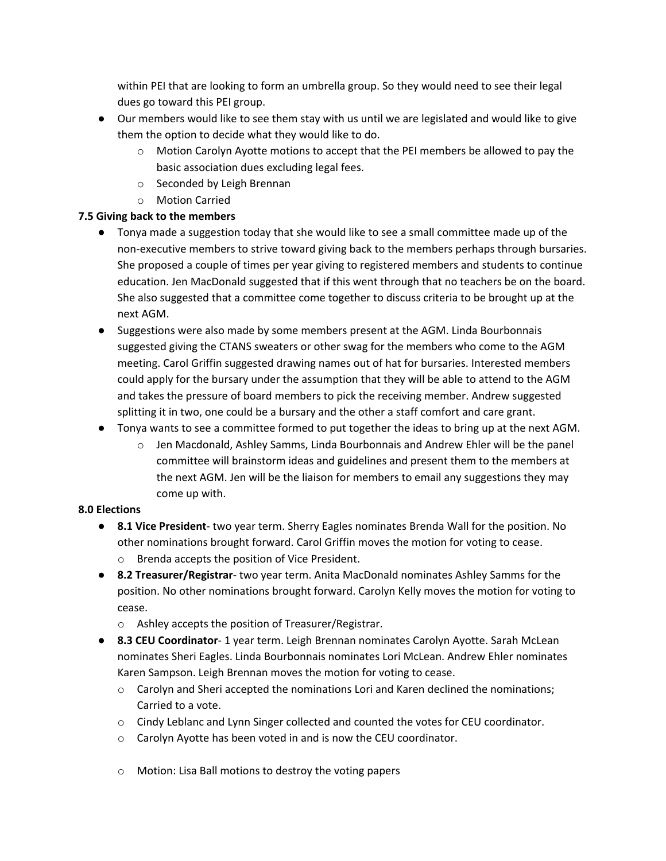within PEI that are looking to form an umbrella group. So they would need to see their legal dues go toward this PEI group.

- Our members would like to see them stay with us until we are legislated and would like to give them the option to decide what they would like to do.
	- $\circ$  Motion Carolyn Ayotte motions to accept that the PEI members be allowed to pay the basic association dues excluding legal fees.
	- o Seconded by Leigh Brennan
	- o Motion Carried

#### **7.5 Giving back to the members**

- Tonya made a suggestion today that she would like to see a small committee made up of the non-executive members to strive toward giving back to the members perhaps through bursaries. She proposed a couple of times per year giving to registered members and students to continue education. Jen MacDonald suggested that if this went through that no teachers be on the board. She also suggested that a committee come together to discuss criteria to be brought up at the next AGM.
- Suggestions were also made by some members present at the AGM. Linda Bourbonnais suggested giving the CTANS sweaters or other swag for the members who come to the AGM meeting. Carol Griffin suggested drawing names out of hat for bursaries. Interested members could apply for the bursary under the assumption that they will be able to attend to the AGM and takes the pressure of board members to pick the receiving member. Andrew suggested splitting it in two, one could be a bursary and the other a staff comfort and care grant.
- Tonya wants to see a committee formed to put together the ideas to bring up at the next AGM.
	- $\circ$  Jen Macdonald, Ashley Samms, Linda Bourbonnais and Andrew Ehler will be the panel committee will brainstorm ideas and guidelines and present them to the members at the next AGM. Jen will be the liaison for members to email any suggestions they may come up with.

#### **8.0 Elections**

- **8.1 Vice President** two year term. Sherry Eagles nominates Brenda Wall for the position. No other nominations brought forward. Carol Griffin moves the motion for voting to cease. o Brenda accepts the position of Vice President.
- **8.2 Treasurer/Registrar** two year term. Anita MacDonald nominates Ashley Samms for the position. No other nominations brought forward. Carolyn Kelly moves the motion for voting to cease.
	- o Ashley accepts the position of Treasurer/Registrar.
- **8.3 CEU Coordinator** 1 year term. Leigh Brennan nominates Carolyn Ayotte. Sarah McLean nominates Sheri Eagles. Linda Bourbonnais nominates Lori McLean. Andrew Ehler nominates Karen Sampson. Leigh Brennan moves the motion for voting to cease.
	- $\circ$  Carolyn and Sheri accepted the nominations Lori and Karen declined the nominations; Carried to a vote.
	- o Cindy Leblanc and Lynn Singer collected and counted the votes for CEU coordinator.
	- o Carolyn Ayotte has been voted in and is now the CEU coordinator.
	- o Motion: Lisa Ball motions to destroy the voting papers